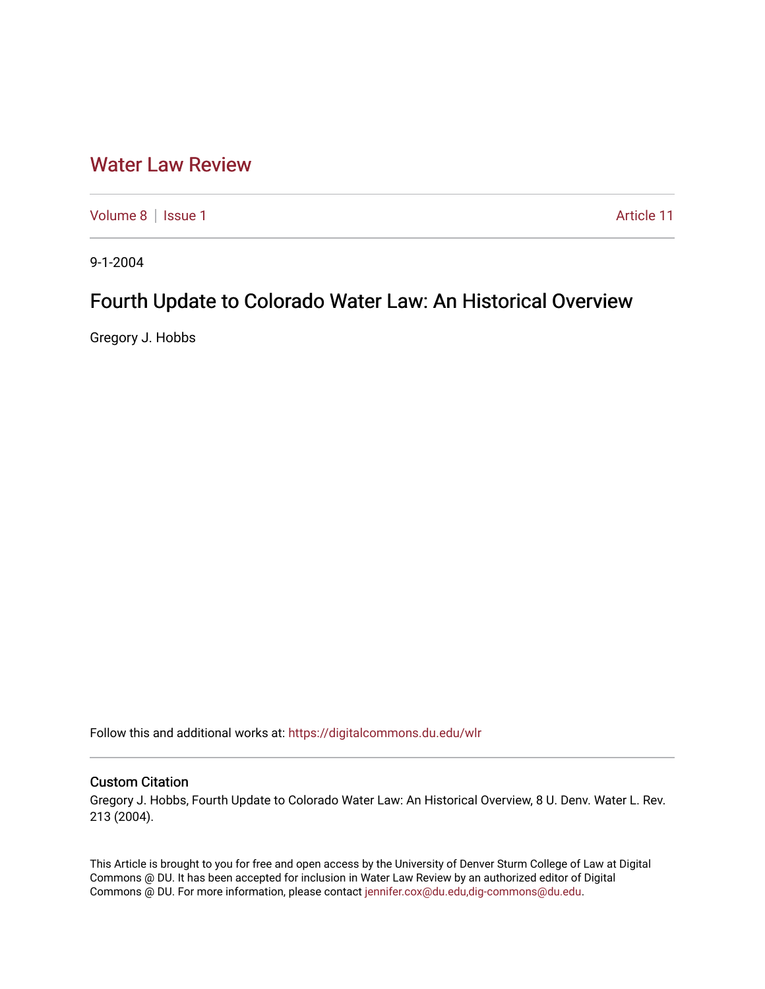# [Water Law Review](https://digitalcommons.du.edu/wlr)

[Volume 8](https://digitalcommons.du.edu/wlr/vol8) | [Issue 1](https://digitalcommons.du.edu/wlr/vol8/iss1) Article 11

9-1-2004

# Fourth Update to Colorado Water Law: An Historical Overview

Gregory J. Hobbs

Follow this and additional works at: [https://digitalcommons.du.edu/wlr](https://digitalcommons.du.edu/wlr?utm_source=digitalcommons.du.edu%2Fwlr%2Fvol8%2Fiss1%2F11&utm_medium=PDF&utm_campaign=PDFCoverPages) 

### Custom Citation

Gregory J. Hobbs, Fourth Update to Colorado Water Law: An Historical Overview, 8 U. Denv. Water L. Rev. 213 (2004).

This Article is brought to you for free and open access by the University of Denver Sturm College of Law at Digital Commons @ DU. It has been accepted for inclusion in Water Law Review by an authorized editor of Digital Commons @ DU. For more information, please contact [jennifer.cox@du.edu,dig-commons@du.edu.](mailto:jennifer.cox@du.edu,dig-commons@du.edu)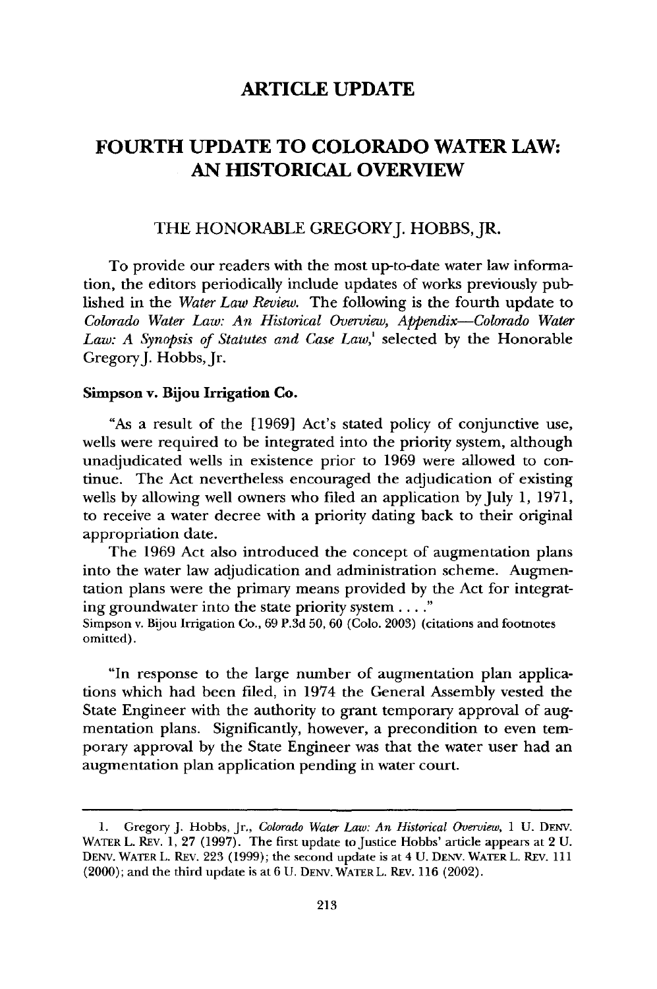# **FOURTH UPDATE TO COLORADO WATER LAW: AN HISTORICAL OVERVIEW**

### THE HONORABLE GREGORYJ. HOBBS, JR.

To provide our readers with the most up-to-date water law information, the editors periodically include updates of works previously published in the *Water Law Review.* The following is the fourth update to *Colorado Water Law: An Historical Overview, Appendix-Colorado Water Law: A Synopsis of Statutes and Case Law,'* selected by the Honorable Gregory J. Hobbs, Jr.

#### Simpson v. Bijou Irrigation **Co.**

"As a result of the **[1969]** Act's stated policy of conjunctive use, wells were required to be integrated into the priority system, although unadjudicated wells in existence prior to **1969** were allowed to continue. The Act nevertheless encouraged the adjudication of existing wells **by** allowing well owners who filed an application by July **1, 1971,** to receive a water decree with a priority dating back to their original appropriation date.

The **1969** Act also introduced the concept of augmentation plans into the water law adjudication and administration scheme. Augmentation plans were the primary means provided **by** the Act for integrating groundwater into the state priority system.... **"**

Simpson v. Bijou Irrigation Co., 69 P.3d 50, 60 (Colo. 2003) (citations and footnotes omitted).

"In response to the large number of augmentation plan applications which had been filed, in 1974 the General Assembly vested the State Engineer with the authority to grant temporary approval of augmentation plans. Significantly, however, a precondition to even temporary approval by the State Engineer was that the water user had an augmentation plan application pending in water court.

<sup>1.</sup> Gregory J. Hobbs, Jr., *Colorado Water Law: An Historical Overview, 1* U. DENy. WATER L. REV. 1, 27 (1997). The first update to Justice Hobbs' article appears at 2 **U. DENV.** WATER L. REv. 223 (1999); the second update is at 4 U. DENV. WATER L. REv. 111 (2000); and the third update is at 6 U. **DENV.** WATER L. REv. 116 (2002).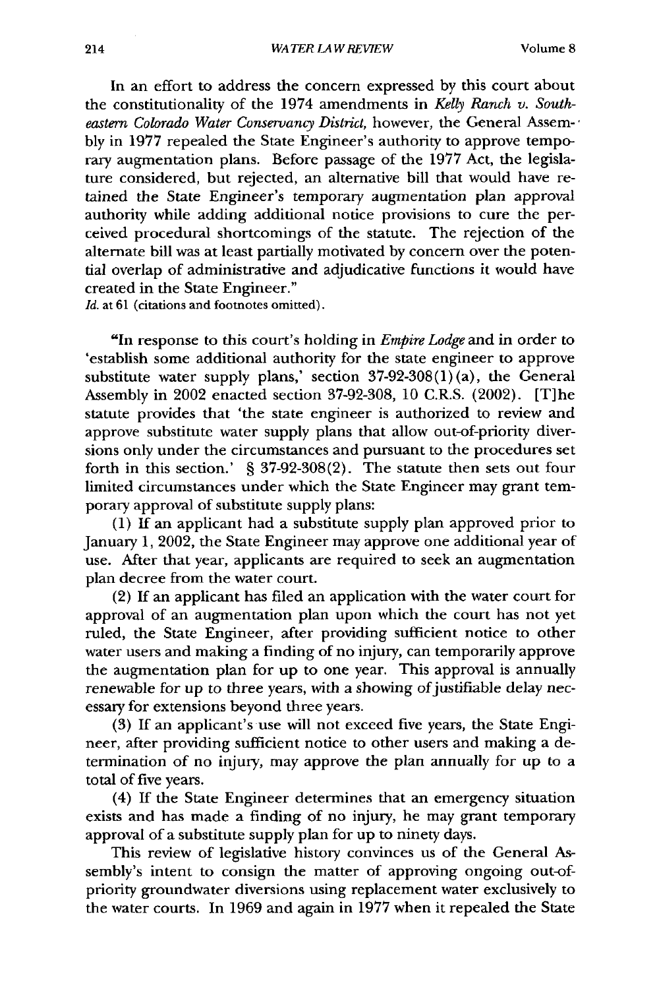In an effort to address the concern expressed by this court about the constitutionality of the 1974 amendments in *Kelly Ranch v. Southeastern Colorado Water Conservancy District,* however, the General Assembly in 1977 repealed the State Engineer's authority to approve temporary augmentation plans. Before passage of the 1977 Act, the legislature considered, but rejected, an alternative bill that would have retained the State Engineer's temporary augmentation plan approval authority while adding additional notice provisions to cure the perceived procedural shortcomings of the statute. The rejection of the alternate bill was at least partially motivated by concern over the potential overlap of administrative and adjudicative functions it would have created in the State Engineer."

*Id.* at 61 (citations and footnotes omitted).

"In response to this court's holding in *Empire Lodge* and in order to 'establish some additional authority for the state engineer to approve substitute water supply plans,' section  $37-92-308(1)(a)$ , the General Assembly in 2002 enacted section 37-92-308, 10 C.R.S. (2002). [T]he statute provides that 'the state engineer is authorized to review and approve substitute water supply plans that allow out-of-priority diversions only under the circumstances and pursuant to the procedures set forth in this section.' § 37-92-308(2). The statute then sets out four limited circumstances under which the State Engineer may grant temporary approval of substitute supply plans:

(1) If an applicant had a substitute supply plan approved prior to January 1, 2002, the State Engineer may approve one additional year of use. After that year, applicants are required to seek an augmentation plan decree from the water court.

(2) If an applicant has filed an application with the water court for approval of an augmentation plan upon which the court has not yet ruled, the State Engineer, after providing sufficient notice to other water users and making a finding of no injury, can temporarily approve the augmentation plan for up to one year. This approval is annually renewable for up to three years, with a showing of justifiable delay necessary for extensions beyond three years.

(3) If an applicant's use will not exceed five years, the State Engineer, after providing sufficient notice to other users and making a determination of no injury, may approve the plan annually for up to a total of five years.

(4) If the State Engineer determines that an emergency situation exists and has made a finding of no injury, he may grant temporary approval of a substitute supply plan for up to ninety days.

This review of legislative history convinces us of the General Assembly's intent to consign the matter of approving ongoing out-ofpriority groundwater diversions using replacement water exclusively to the water courts. In 1969 and again in 1977 when it repealed the State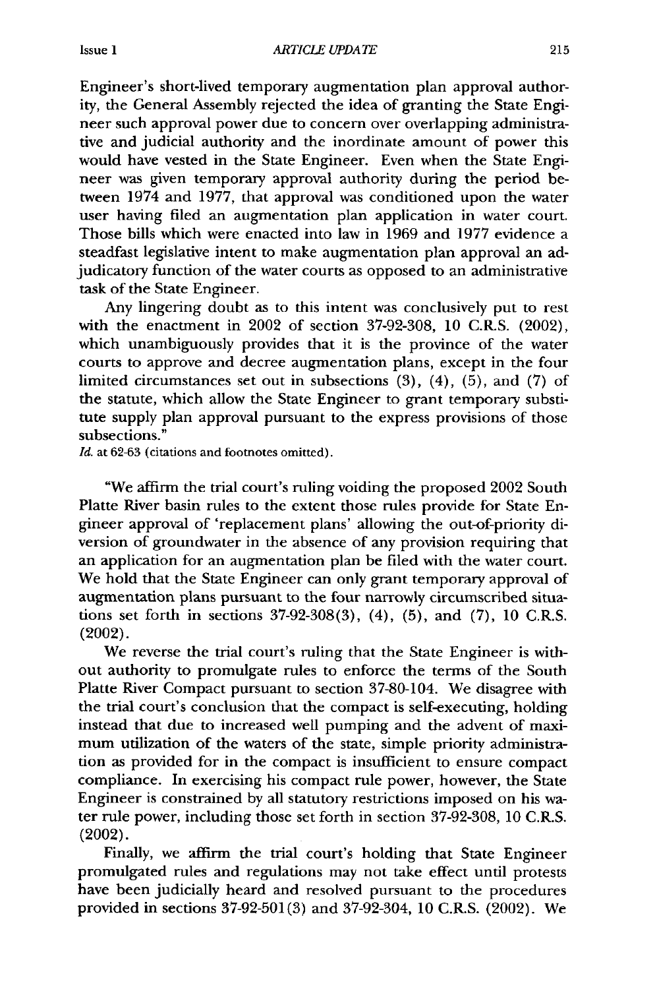Engineer's short-lived temporary augmentation plan approval authority, the General Assembly rejected the idea of granting the State Engineer such approval power due to concern over overlapping administrative and judicial authority and the inordinate amount of power this would have vested in the State Engineer. Even when the State Engineer was given temporary approval authority during the period between 1974 and 1977, that approval was conditioned upon the water user having filed an augmentation plan application in water court. Those bills which were enacted into law in 1969 and 1977 evidence a steadfast legislative intent to make augmentation plan approval an adjudicatory function of the water courts as opposed to an administrative task of the State Engineer.

Any lingering doubt as to this intent was conclusively put to rest with the enactment in 2002 of section 37-92-308, 10 C.R.S. (2002), which unambiguously provides that it is the province of the water courts to approve and decree augmentation plans, except in the four limited circumstances set out in subsections  $(3)$ ,  $(4)$ ,  $(5)$ , and  $(7)$  of the statute, which allow the State Engineer to grant temporary substitute supply plan approval pursuant to the express provisions of those subsections.'

*Id.* at 62-63 (citations and footnotes omitted).

"We affirm the trial court's ruling voiding the proposed 2002 South Platte River basin rules to the extent those rules provide for State Engineer approval of 'replacement plans' allowing the out-of-priority diversion of groundwater in the absence of any provision requiring that an application for an augmentation plan be filed with the water court. We hold that the State Engineer can only grant temporary approval of augmentation plans pursuant to the four narrowly circumscribed situations set forth in sections 37-92-308(3), (4), (5), and (7), 10 C.R.S. (2002).

We reverse the trial court's ruling that the State Engineer is without authority to promulgate rules to enforce the terms of the South Platte River Compact pursuant to section 37-80-104. We disagree with the trial court's conclusion that the compact is self-executing, holding instead that due to increased well pumping and the advent of maximum utilization of the waters of the state, simple priority administration as provided for in the compact is insufficient to ensure compact compliance. In exercising his compact rule power, however, the State Engineer is constrained by all statutory restrictions imposed on his water rule power, including those set forth in section 37-92-308, 10 C.R.S. (2002).

Finally, we affirm the trial court's holding that State Engineer promulgated rules and regulations may not take effect until protests have been judicially heard and resolved pursuant to the procedures provided in sections 37-92-501(3) and 37-92-304, **10** C.R.S. (2002). We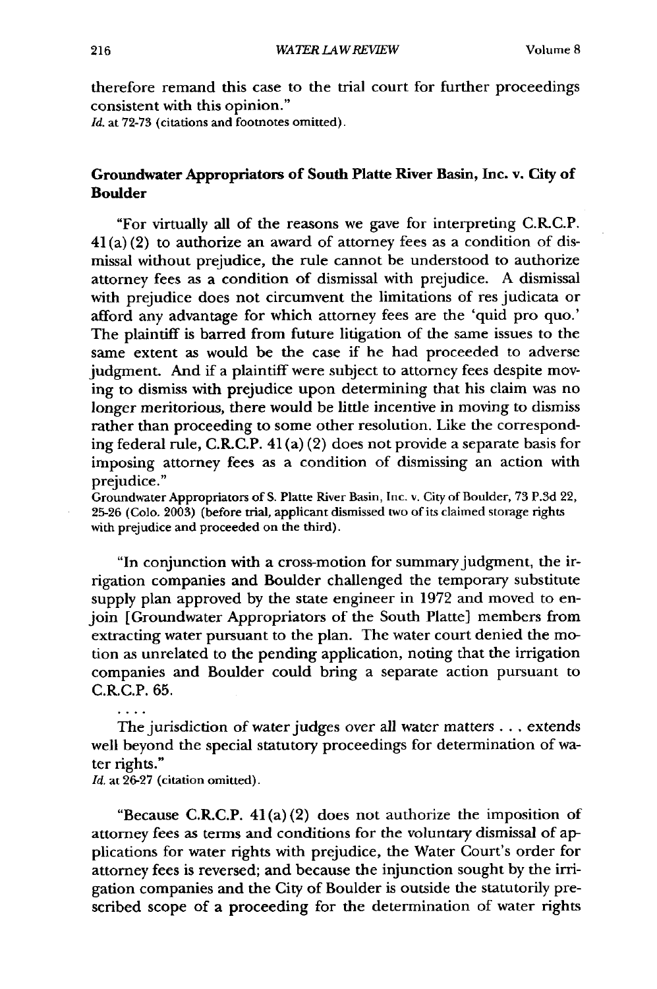therefore remand this case to the trial court for further proceedings consistent with this opinion."

Id. at 72-73 (citations and footnotes omitted).

#### Groundwater Appropriators of South Platte River Basin, Inc. **v.** City of Boulder

"For virtually all of the reasons we gave for interpreting C.R.C.P.  $41(a)(2)$  to authorize an award of attorney fees as a condition of dismissal without prejudice, the rule cannot be understood to authorize attorney fees as a condition of dismissal with prejudice. A dismissal with prejudice does not circumvent the limitations of res judicata or afford any advantage for which attorney fees are the 'quid pro quo.' The plaintiff is barred from future litigation of the same issues to the same extent as would be the case if he had proceeded to adverse judgment. And if a plaintiff were subject to attorney fees despite moving to dismiss with prejudice upon determining that his claim was no longer meritorious, there would be little incentive in moving to dismiss rather than proceeding to some other resolution. Like the corresponding federal rule, C.R.C.P. 41 (a) (2) does not provide a separate basis for imposing attorney fees as a condition of dismissing an action with prejudice."

Groundwater Appropriators of S. Platte River Basin, Inc. v. City of Boulder, 73 P.3d 22, 25-26 (Colo. 2003) (before trial, applicant dismissed two of its claimed storage rights with prejudice and proceeded on the third).

"In conjunction with a cross-motion for summary judgment, the irrigation companies and Boulder challenged the temporary substitute supply plan approved by the state engineer in 1972 and moved to enjoin [Groundwater Appropriators of the South Platte] members from extracting water pursuant to the plan. The water court denied the motion as unrelated to the pending application, noting that the irrigation companies and Boulder could bring a separate action pursuant to C.R.C.P. 65.

The jurisdiction of water judges over all water matters.., extends well beyond the special statutory proceedings for determination of water rights."

*Id.* at 26-27 (citation omitted).

"Because C.R.C.P.  $41(a)(2)$  does not authorize the imposition of attorney fees as terms and conditions for the voluntary dismissal of applications for water rights with prejudice, the Water Court's order for attorney fees is reversed; and because the injunction sought by the irrigation companies and the City of Boulder is outside the statutorily prescribed scope of a proceeding for the determination of water rights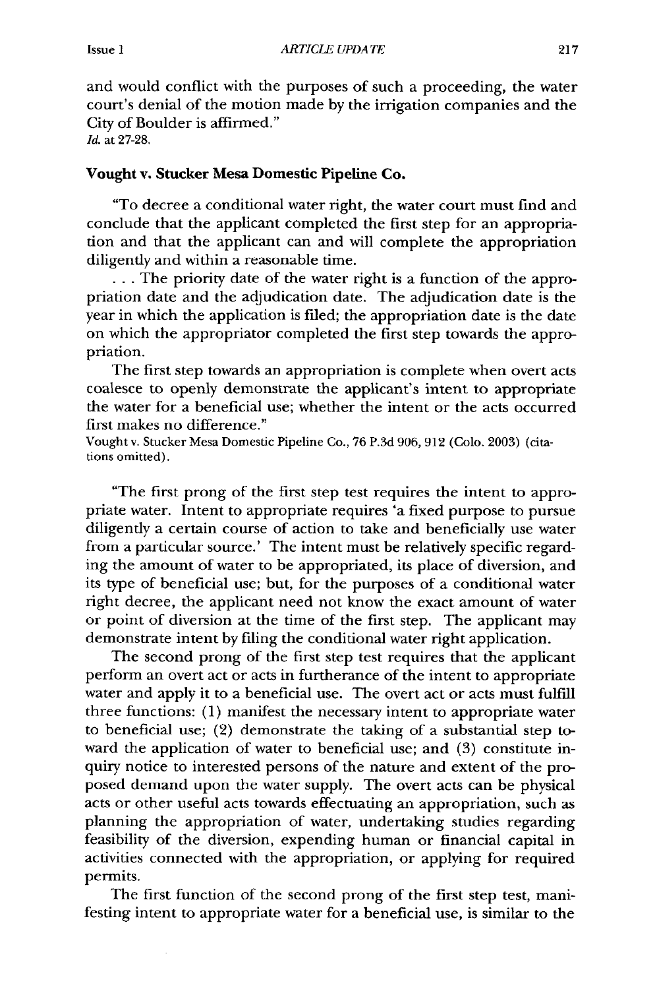and would conflict with the purposes of such a proceeding, the water court's denial of the motion made by the irrigation companies and the City of Boulder is affirmed." Id. at 27-28.

#### Vought **v. Stucker Mesa Domestic Pipeline Co.**

"To decree a conditional water right, the water court must find and conclude that the applicant completed the first step for an appropriation and that the applicant can and will complete the appropriation diligently and within a reasonable time.

... The priority date of the water right is a function of the appropriation date and the adjudication date. The adjudication date is the year in which the application is filed; the appropriation date is the date on which the appropriator completed the first step towards the appropriation.

The first step towards an appropriation is complete when overt **acts** coalesce to openly demonstrate the applicant's intent to appropriate the water for a beneficial use; whether the intent or the acts occurred first makes no difference."

Vought v. Stucker Mesa Domestic Pipeline Co., 76 P.3d 906, 912 (Colo. 2003) (citations omitted).

"The first prong of the first step test requires the intent to appropriate water. Intent to appropriate requires 'a fixed purpose to pursue diligently a certain course of action to take and beneficially use water from a particular source.' The intent must be relatively specific regarding the amount of water to be appropriated, its place of diversion, and its type of beneficial use; but, for the purposes of a conditional water right decree, the applicant need not know the exact amount of water or point of diversion at the time of the first step. The applicant may demonstrate intent by filing the conditional water right application.

The second prong of the first step test requires that the applicant perform an overt act or acts in furtherance of the intent to appropriate water and apply it to a beneficial use. The overt act or acts must fulfill three functions: (1) manifest the necessary intent to appropriate water to beneficial use; (2) demonstrate the taking of a substantial step toward the application of water to beneficial use; and (3) constitute inquiry notice to interested persons of the nature and extent of the proposed demand upon the water supply. The overt acts can be physical acts or other useful acts towards effectuating an appropriation, such as planning the appropriation of water, undertaking studies regarding feasibility of the diversion, expending human or financial capital in activities connected with the appropriation, or applying for required permits.

The first function of the second prong of the first step test, manifesting intent to appropriate water for a beneficial use, is similar to the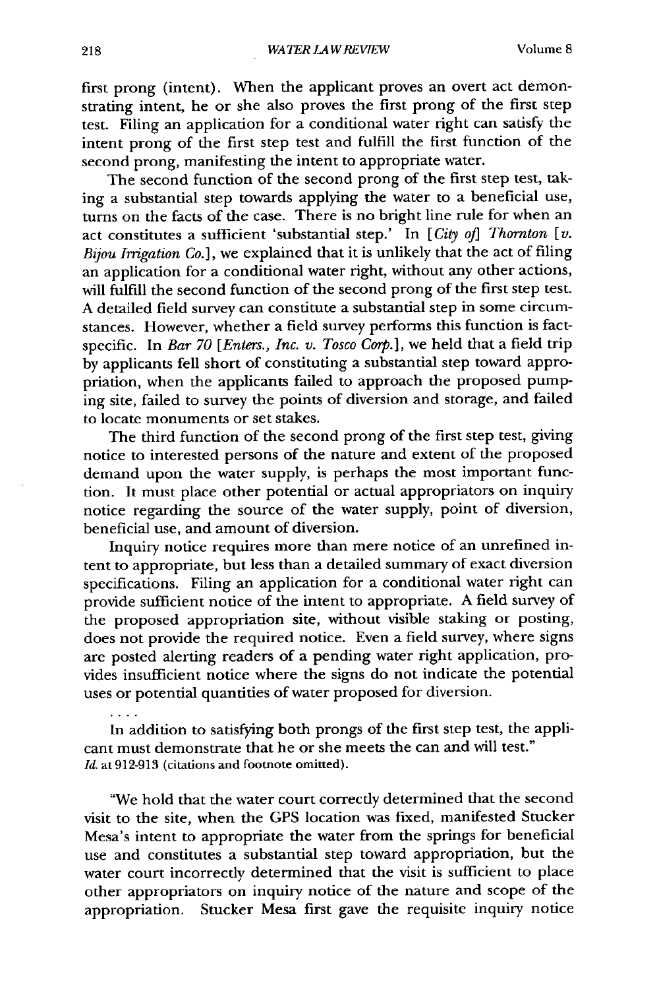first prong (intent). When the applicant proves an overt act demonstrating intent, he or she also proves the first prong of the first step test. Filing an application for a conditional water right can satisfy the intent prong of the first step test and fulfill the first function of the second prong, manifesting the intent to appropriate water.

The second function of the second prong of the first step test, taking a substantial step towards applying the water to a beneficial use, turns on the facts of the case. There is no bright line rule for when an act constitutes a sufficient 'substantial step.' In [City of] Thornton [v. *Bijou Irrigation Co.],* we explained that it is unlikely that the act of filing an application for a conditional water right, without any other actions, will fulfill the second function of the second prong of the first step test. A detailed field survey can constitute a substantial step in some circumstances. However, whether a field survey performs this function is factspecific. In *Bar 70 [Enters., Inc. v. Tosco Corp.],* we held that a field trip by applicants fell short of constituting a substantial step toward appropriation, when the applicants failed to approach the proposed pumping site, failed to survey the points of diversion and storage, and failed to locate monuments or set stakes.

The third function of the second prong of the first step test, giving notice to interested persons of the nature and extent of the proposed demand upon the water supply, is perhaps the most important function. It must place other potential or actual appropriators on inquiry notice regarding the source of the water supply, point of diversion, beneficial use, and amount of diversion.

Inquiry notice requires more than mere notice of an unrefined intent to appropriate, but less than a detailed summary of exact diversion specifications. Filing an application for a conditional water right can provide sufficient notice of the intent to appropriate. A field survey of the proposed appropriation site, without visible staking or posting, does not provide the required notice. Even a field survey, where signs are posted alerting readers of a pending water right application, provides insufficient notice where the signs do not indicate the potential uses or potential quantities of water proposed for diversion.

In addition to satisfying both prongs of the first step test, the applicant must demonstrate that he or she meets the can and will test." *Id.* at 912-913 (citations and footnote omitted).

"We hold that the water court correctly determined that the second visit to the site, when the GPS location was fixed, manifested Stucker Mesa's intent to appropriate the water from the springs for beneficial use and constitutes a substantial step toward appropriation, but the water court incorrectly determined that the visit is sufficient to place other appropriators on inquiry notice of the nature and scope of the appropriation. Stucker Mesa first gave the requisite inquiry notice

 $\mathbf{1}$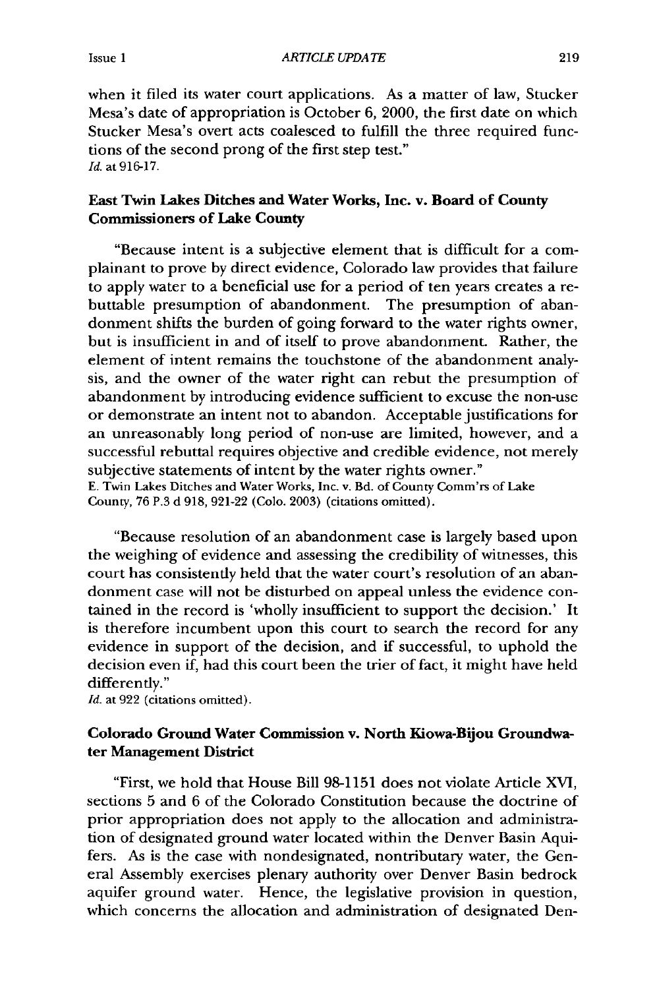when it filed its water court applications. As a matter of law, Stucker Mesa's date of appropriation is October **6,** 2000, the first date on which Stucker Mesa's overt acts coalesced to fulfill the three required functions of the second prong of the first step test." *Id.* at **916-17.**

#### East Twin Lakes Ditches and Water Works, Inc. v. Board of **County** Commissioners of Lake County

"Because intent is a subjective element that is difficult for a complainant to prove **by** direct evidence, Colorado law provides that failure to apply water to a beneficial use for a period of ten years creates a rebuttable presumption of abandonment. The presumption of abandonment shifts the burden of going forward to the water rights owner, but is insufficient in and of itself to prove abandonment. Rather, the element of intent remains the touchstone of the abandonment analysis, and the owner of the water right can rebut the presumption of abandonment **by** introducing evidence sufficient to excuse the non-use or demonstrate an intent not to abandon. Acceptable justifications for an unreasonably long period of non-use are limited, however, and a successful rebuttal requires objective and credible evidence, not merely subjective statements of intent **by** the water rights owner." **E.** Twin Lakes Ditches and Water Works, Inc. v. Bd. of County Comm'rs of Lake County, **76** P.3 **d 918,** 921-22 (Colo. **2003)** (citations omitted).

"Because resolution of an abandonment case is largely based upon the weighing of evidence and assessing the credibility of witnesses, this court has consistently held that the water court's resolution of an abandonment case will not be disturbed on appeal unless the evidence contained in the record is 'wholly insufficient to support the decision.' It is therefore incumbent upon this court to search the record for any evidence in support of the decision, and if successful, to uphold the decision even if, had this court been the trier of fact, it might have held differently."

*Id.* at 922 (citations omitted).

#### Colorado Ground Water Commission v. North Kiowa-Bijou Groundwater Management District

"First, we hold that House Bill **98-1151** does not violate Article XVI, sections **5** and **6** of the Colorado Constitution because the doctrine of prior appropriation does not apply to the allocation and administration of designated ground water located within the Denver Basin Aquifers. As is the case with nondesignated, nontributary water, the General Assembly exercises plenary authority over Denver Basin bedrock aquifer ground water. Hence, the legislative provision in question, which concerns the allocation and administration of designated Den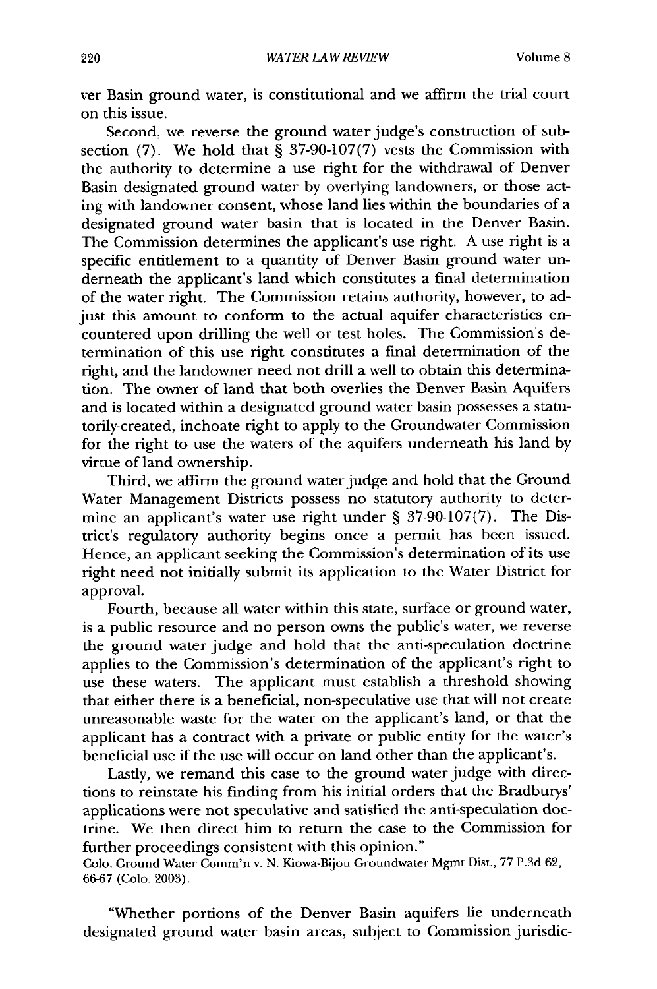ver Basin ground water, is constitutional and we affirm the trial court on this issue.

Second, we reverse the ground water judge's construction of subsection (7). We hold that  $\frac{8}{3}$  37-90-107(7) vests the Commission with the authority to determine a use right for the withdrawal of Denver Basin designated ground water by overlying landowners, or those acting with landowner consent, whose land lies within the boundaries of a designated ground water basin that is located in the Denver Basin. The Commission determines the applicant's use right. A use right is a specific entitlement to a quantity of Denver Basin ground water underneath the applicant's land which constitutes a final determination of the water right. The Commission retains authority, however, to adjust this amount to conform to the actual aquifer characteristics encountered upon drilling the well or test holes. The Commission's determination of this use right constitutes a final determination of the right, and the landowner need not drill a well to obtain this determination. The owner of land that both overlies the Denver Basin Aquifers and is located within a designated ground water basin possesses a statutorily-created, inchoate right to apply to the Groundwater Commission for the right to use the waters of the aquifers underneath his land by virtue of land ownership.

Third, we affirm the ground water judge and hold that the Ground Water Management Districts possess no statutory authority to determine an applicant's water use right under § 37-90-107(7). The District's regulatory authority begins once a permit has been issued. Hence, an applicant seeking the Commission's determination of its use right need not initially submit its application to the Water District for approval.

Fourth, because all water within this state, surface or ground water, is a public resource and no person owns the public's water, we reverse the ground water judge and hold that the anti-speculation doctrine applies to the Commission's determination of the applicant's right to use these waters. The applicant must establish a threshold showing that either there is a beneficial, non-speculative use that will not create unreasonable waste for the water on the applicant's land, or that the applicant has a contract with a private or public entity for the water's beneficial use if the use will occur on land other than the applicant's.

Lastly, we remand this case to the ground water judge with directions to reinstate his finding from his initial orders that the Bradburys' applications were not speculative and satisfied the anti-speculation doctrine. We then direct him to return the case to the Commission for further proceedings consistent with this opinion."

Colo. Ground Water Comm'n v. N. Kiowa-Bijou Groundwater Mgmt Dist., 77 P.3d 62, 66-67 (Colo. 2003).

"Whether portions of the Denver Basin aquifers lie underneath designated ground water basin areas, subject to Commission jurisdic-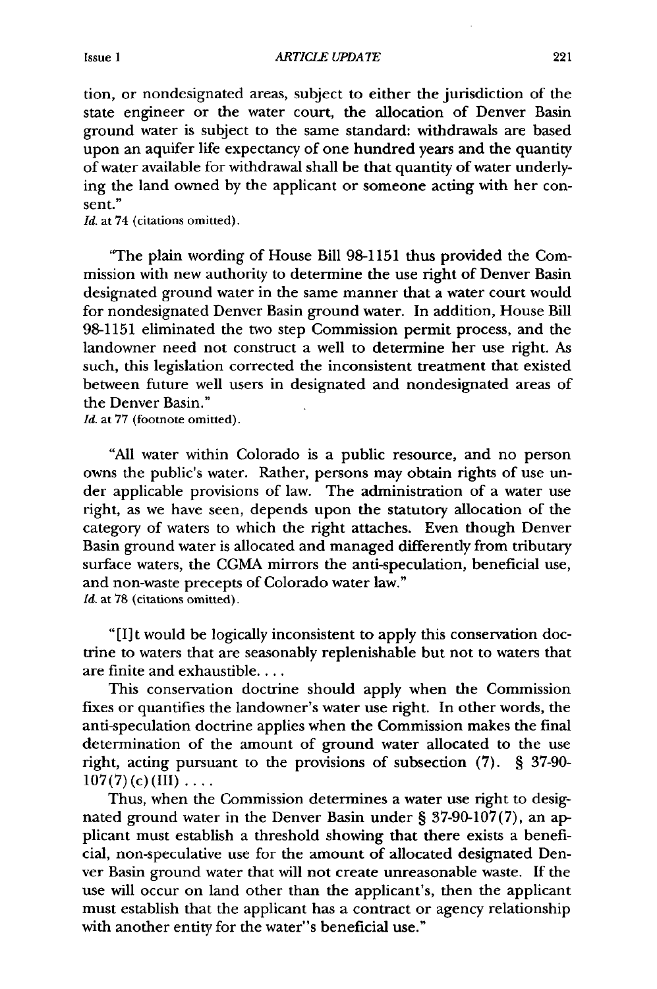tion, or nondesignated areas, subject to either the jurisdiction of the state engineer or the water court, the allocation of Denver Basin ground water is subject to the same standard: withdrawals are based upon an aquifer life expectancy of one hundred years and the quantity of water available for withdrawal shall be that quantity of water underlying the land owned by the applicant or someone acting with her consent."

*Id.* at 74 (citations omitted).

"The plain wording of House Bill 98-1151 thus provided the Commission with new authority to determine the use right of Denver Basin designated ground water in the same manner that a water court would for nondesignated Denver Basin ground water. In addition, House Bill 98-1151 eliminated the two step Commission permit process, and the landowner need not construct a well to determine her use right. As such, this legislation corrected the inconsistent treatment that existed between future well users in designated and nondesignated areas of the Denver Basin."

*Id.* at 77 (footnote omitted).

"All water within Colorado is a public resource, and no person owns the public's water. Rather, persons may obtain rights of use under applicable provisions of law. The administration of a water use right, as we have seen, depends upon the statutory allocation of the category of waters to which the right attaches. Even though Denver Basin ground water is allocated and managed differently from tributary surface waters, the CGMA mirrors the anti-speculation, beneficial use, and non-waste precepts of Colorado water law." *Id.* at 78 (citations omitted).

**"[1]t** would be logically inconsistent to apply this conservation doctrine to waters that are seasonably replenishable but not to waters that are finite and exhaustible....

This conservation doctrine should apply when the Commission fixes or quantifies the landowner's water use right. In other words, the anti-speculation doctrine applies when the Commission makes the final determination of the amount of ground water allocated to the use right, acting pursuant to the provisions of subsection (7). § 37-90-  $107(7)(c)$  (III)  $\ldots$ 

Thus, when the Commission determines a water use right to designated ground water in the Denver Basin under § 37-90-107(7), an applicant must establish a threshold showing that there exists a beneficial, non-speculative use for the amount of allocated designated Denver Basin ground water that will not create unreasonable waste. If the use will occur on land other than the applicant's, then the applicant must establish that the applicant has a contract or agency relationship with another entity for the water"s beneficial use."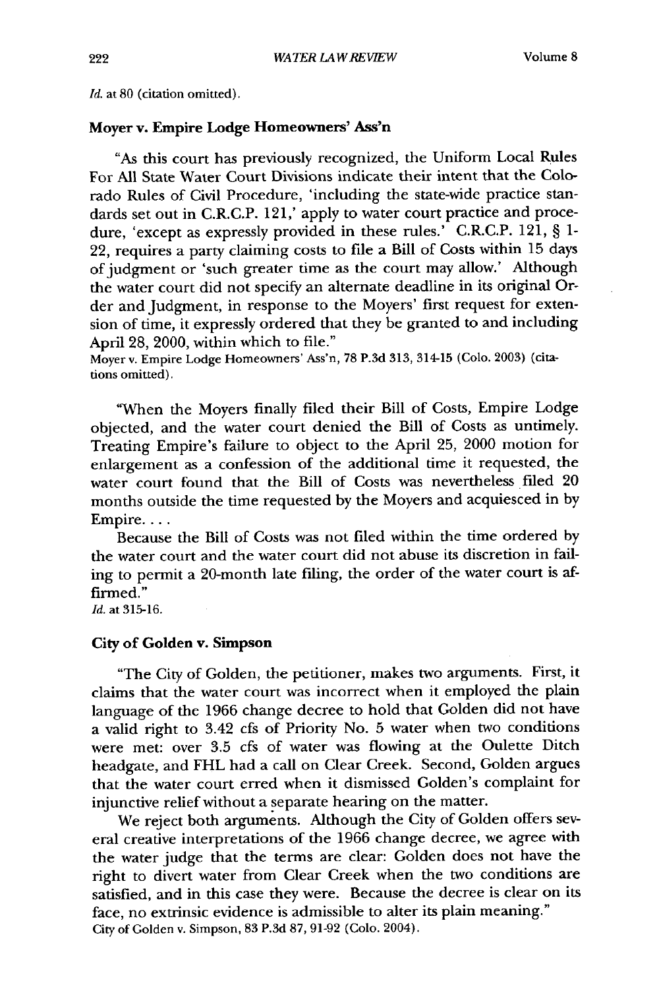*Id.* at **80** (citation omitted).

#### **Moyer** v. Empire **Lodge Homeowners' Ass'n**

"As this court has previously recognized, the Uniform Local Rules For All State Water Court Divisions indicate their intent that the Colorado Rules of Civil Procedure, 'including the state-wide practice standards set out in C.R.C.P. 121,' apply to water court practice and procedure, 'except as expressly provided in these rules.' C.R.C.P. 121, § 1- 22, requires a party claiming costs to file a Bill of Costs within 15 days of judgment or 'such greater time as the court may allow.' Although the water court did not specify an alternate deadline in its original Order and Judgment, in response to the Moyers' first request for extension of time, it expressly ordered that they be granted to and including April 28, 2000, within which to file."

Moyer v. Empire Lodge Homeowners' Ass'n, 78 P.3d 313, 314-15 (Colo. 2003) (citations omitted).

"When the Moyers finally filed their Bill of Costs, Empire Lodge objected, and the water court denied the Bill of Costs as untimely. Treating Empire's failure to object to the April **25,** 2000 motion for enlargement as a confession of the additional time it requested, the water court found that the Bill of Costs was nevertheless filed 20 months outside the time requested **by** the Moyers and acquiesced in **by** Empire....

Because the Bill of Costs was not filed within the time ordered by the water court and the water court did not abuse its discretion in failing to permit a 20-month late filing, the order of the water court is affirmed.'

*Id.* at 315-16.

#### City of Golden **v.** Simpson

"The City of Golden, the petitioner, makes two arguments. First, it claims that the water court was incorrect when it employed the plain language of the 1966 change decree to hold that Golden did not have a valid right to 3.42 cfs of Priority No. 5 water when two conditions were met: over 3.5 cfs of water was flowing at the Oulette Ditch headgate, and FHL had a call on Clear Creek. Second, Golden argues that the water court erred when it dismissed Golden's complaint for injunctive relief without a separate hearing on the matter.

We reject both arguments. Although the City of Golden offers several creative interpretations of the 1966 change decree, we agree with the water judge that the terms are clear: Golden does not have the right to divert water from Clear Creek when the two conditions are satisfied, and in this case they were. Because the decree is clear on its face, no extrinsic evidence is admissible to alter its plain meaning." City of Golden v. Simpson, 83 P.3d **87,** 91-92 (Colo. 2004).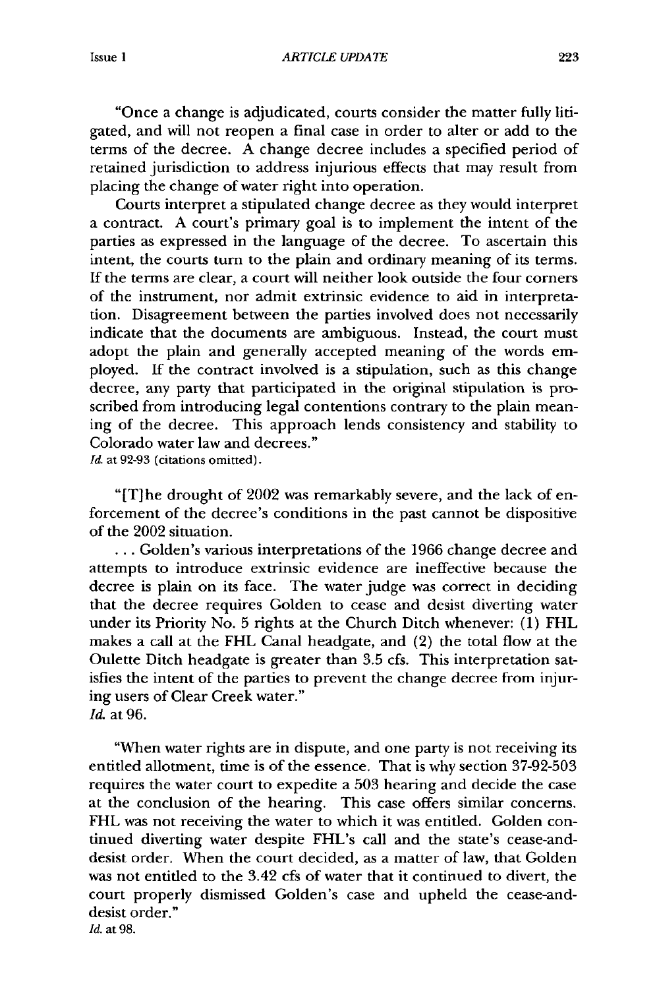"Once a change is adjudicated, courts consider the matter fully litigated, and will not reopen a final case in order to alter or add to the terms of the decree. A change decree includes a specified period of retained jurisdiction to address injurious effects that may result from placing the change of water right into operation.

Courts interpret a stipulated change decree as they would interpret a contract. A court's primary goal is to implement the intent of the parties as expressed in the language of the decree. To ascertain this intent, the courts turn to the plain and ordinary meaning of its terms. If the terms are clear, a court will neither look outside the four corners of the instrument, nor admit extrinsic evidence to aid in interpretation. Disagreement between the parties involved does not necessarily indicate that the documents are ambiguous. Instead, the court must adopt the plain and generally accepted meaning of the words employed. If the contract involved is a stipulation, such as this change decree, any party that participated in the original stipulation is proscribed from introducing legal contentions contrary to the plain meaning of the decree. This approach lends consistency and stability to Colorado water law and decrees."

*Id.* at 92-93 (citations omitted).

"IT]he drought of 2002 was remarkably severe, and the lack of enforcement of the decree's conditions in the past cannot be dispositive of the 2002 situation.

**...** Golden's various interpretations of the 1966 change decree and attempts to introduce extrinsic evidence are ineffective because the decree is plain on its face. The water judge was correct in deciding that the decree requires Golden to cease and desist diverting water under its Priority No. 5 rights at the Church Ditch whenever: (1) FHL makes a call at the FHL Canal headgate, and (2) the total flow at the Oulette Ditch headgate is greater than 3.5 cfs. This interpretation satisfies the intent of the parties to prevent the change decree from injuring users of Clear Creek water." *Id.* at 96.

"When water rights are in dispute, and one party is not receiving its entitled allotment, time is of the essence. That is why section 37-92-503 requires the water court to expedite a 503 hearing and decide the case at the conclusion of the hearing. This case offers similar concerns. FHL was not receiving the water to which it was entitled. Golden continued diverting water despite FHL's call and the state's cease-anddesist order. When the court decided, as a matter of law, that Golden was not entitled to the 3.42 cfs of water that it continued to divert, the court properly dismissed Golden's case and upheld the cease-anddesist order." *Id.* at **98.**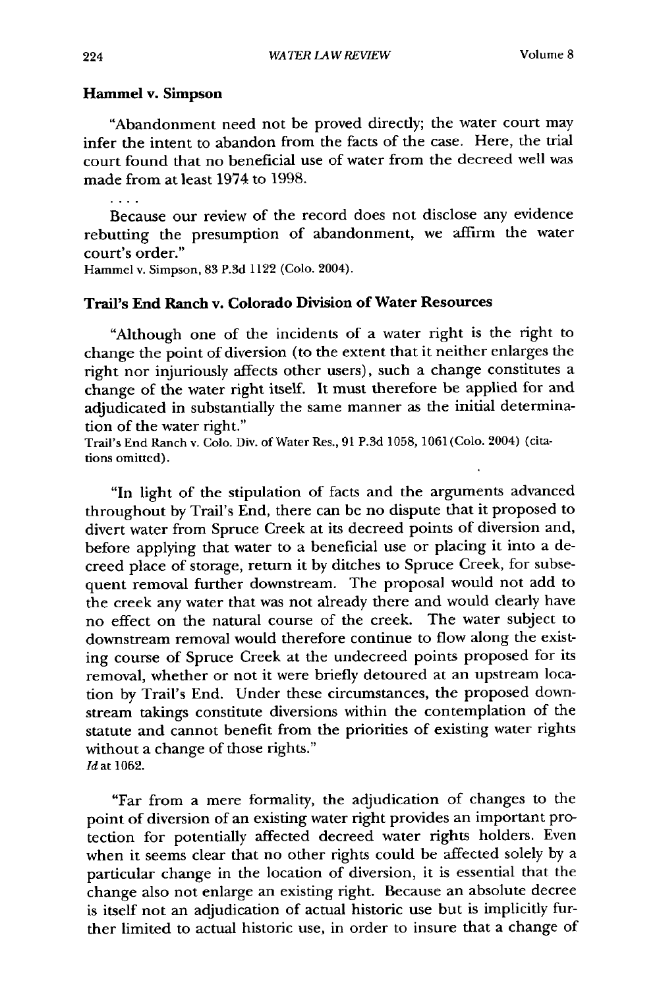#### Hammel v. Simpson

"Abandonment need not be proved directly; the water court may infer the intent to abandon from the facts of the case. Here, the trial court found that no beneficial use of water from the decreed well was made from at least 1974 to 1998.

 $\ldots$  .

Because our review of the record does not disclose any evidence rebutting the presumption of abandonment, we affirm the water court's order."

Hammel v. Simpson, 83 P.3d 1122 (Colo. 2004).

#### **Trail's End Ranch v. Colorado Division of Water Resources**

"Although one of the incidents of a water right is the right to change the point of diversion (to the extent that it neither enlarges the right nor injuriously affects other users), such a change constitutes a change of the water right itself. It must therefore be applied for and adjudicated in substantially the same manner as the initial determination of the water right."

Trail's End Ranch v. Colo. Div. of Water Res., 91 P.3d 1058, 1061 (Colo. 2004) (citations omitted).

"In light of the stipulation of facts and the arguments advanced throughout by Trail's End, there can be no dispute that it proposed to divert water from Spruce Creek at its decreed points of diversion and, before applying that water to a beneficial use or placing it into a decreed place of storage, return it by ditches to Spruce Creek, for subsequent removal further downstream. The proposal would not add to the creek any water that was not already there and would clearly have no effect on the natural course of the creek. The water subject to downstream removal would therefore continue to flow along the existing course of Spruce Creek at the undecreed points proposed for its removal, whether or not it were briefly detoured at an upstream location by Trail's End. Under these circumstances, the proposed downstream takings constitute diversions within the contemplation of the statute and cannot benefit from the priorities of existing water rights without a change of those rights." *Id at* 1062.

"Far from a mere formality, the adjudication of changes to the point of diversion of an existing water right provides an important protection for potentially affected decreed water rights holders. Even when it seems clear that no other rights could be affected solely by a particular change in the location of diversion, it is essential that the change also not enlarge an existing right. Because an absolute decree is itself not an adjudication of actual historic use but is implicitly further limited to actual historic use, in order to insure that a change of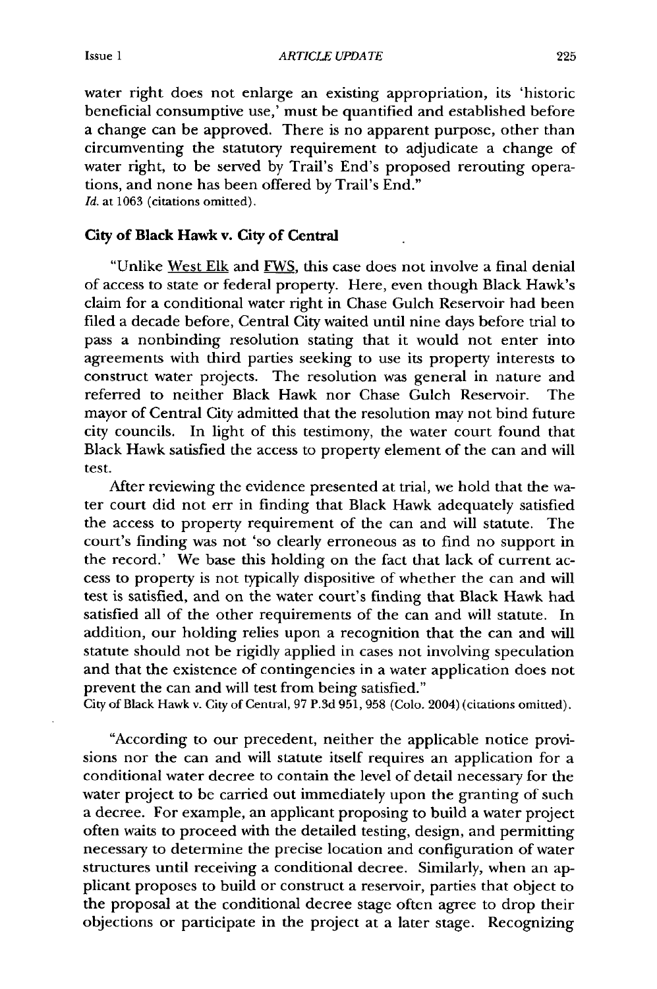water right does not enlarge an existing appropriation, its 'historic beneficial consumptive use,' must be quantified and established before a change can be approved. There is no apparent purpose, other than circumventing the statutory requirement to adjudicate a change **of** water right, to be served **by** Trail's End's proposed rerouting operations, and none has been offered **by** Trail's End."

*Id.* at **1063** (citations omitted).

#### **City** of Black Hawk v. City of Central

"Unlike West **Elk** and FWS, this case does not involve a final denial of access to state or federal property. Here, even though Black Hawk's claim for a conditional water right in Chase Gulch Reservoir had been filed a decade before, Central City waited until nine days before trial to pass a nonbinding resolution stating that it would not enter into agreements with third parties seeking to use its property interests to construct water projects. The resolution was general in nature and referred to neither Black Hawk nor Chase Gulch Reservoir. The mayor of Central City admitted that the resolution may not bind future city councils. In light of this testimony, the water court found that Black Hawk satisfied the access to property element of the can and will test.

After reviewing the evidence presented at trial, we hold that the water court did not err in finding that Black Hawk adequately satisfied the access to property requirement of the can and will statute. The court's finding was not 'so clearly erroneous as to find no support in the record.' We base this holding on the fact that lack of current access to property is not typically dispositive of whether the can and will test is satisfied, and on the water court's finding that Black Hawk had satisfied all of the other requirements of the can and will statute. In addition, our holding relies upon a recognition that the can and will statute should not be rigidly applied in cases not involving speculation and that the existence of contingencies in a water application does not prevent the can and will test from being satisfied."

City of Black Hawk v. City of Central, **97 P.3d 951, 958** (Colo. 2004) (citations omitted).

"According to our precedent, neither the applicable notice provisions nor the can and will statute itself requires an application for a conditional water decree to contain the level of detail necessary for the water project to be carried out immediately upon the granting of such a decree. For example, an applicant proposing to build a water project often waits to proceed with the detailed testing, design, and permitting necessary to determine the precise location and configuration of water structures until receiving a conditional decree. Similarly, when an applicant proposes to build or construct a reservoir, parties that object to the proposal at the conditional decree stage often agree to drop their objections or participate in the project at a later stage. Recognizing